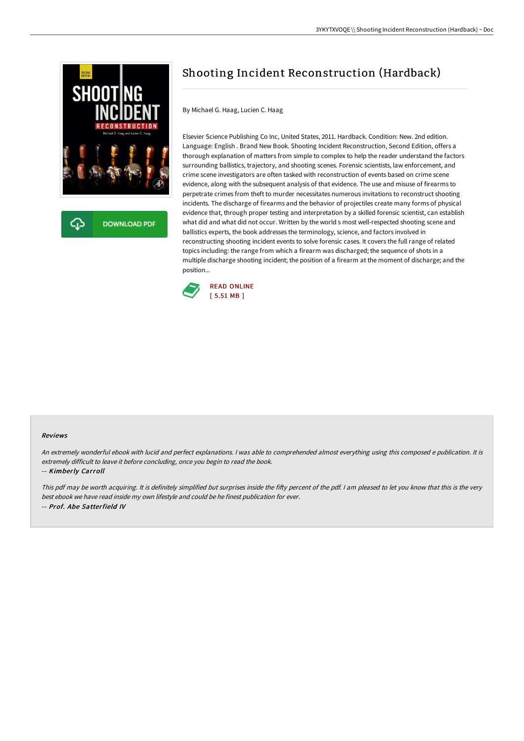

**DOWNLOAD PDF** 

## Shooting Incident Reconstruction (Hardback)

By Michael G. Haag, Lucien C. Haag

Elsevier Science Publishing Co Inc, United States, 2011. Hardback. Condition: New. 2nd edition. Language: English . Brand New Book. Shooting Incident Reconstruction, Second Edition, offers a thorough explanation of matters from simple to complex to help the reader understand the factors surrounding ballistics, trajectory, and shooting scenes. Forensic scientists, law enforcement, and crime scene investigators are often tasked with reconstruction of events based on crime scene evidence, along with the subsequent analysis of that evidence. The use and misuse of firearms to perpetrate crimes from theft to murder necessitates numerous invitations to reconstruct shooting incidents. The discharge of firearms and the behavior of projectiles create many forms of physical evidence that, through proper testing and interpretation by a skilled forensic scientist, can establish what did and what did not occur. Written by the world s most well-respected shooting scene and ballistics experts, the book addresses the terminology, science, and factors involved in reconstructing shooting incident events to solve forensic cases. It covers the full range of related topics including: the range from which a firearm was discharged; the sequence of shots in a multiple discharge shooting incident; the position of a firearm at the moment of discharge; and the position...



## Reviews

An extremely wonderful ebook with lucid and perfect explanations. <sup>I</sup> was able to comprehended almost everything using this composed <sup>e</sup> publication. It is extremely difficult to leave it before concluding, once you begin to read the book.

-- Kimberly Carroll

This pdf may be worth acquiring. It is definitely simplified but surprises inside the fifty percent of the pdf. I am pleased to let you know that this is the very best ebook we have read inside my own lifestyle and could be he finest publication for ever. -- Prof. Abe Satterfield IV